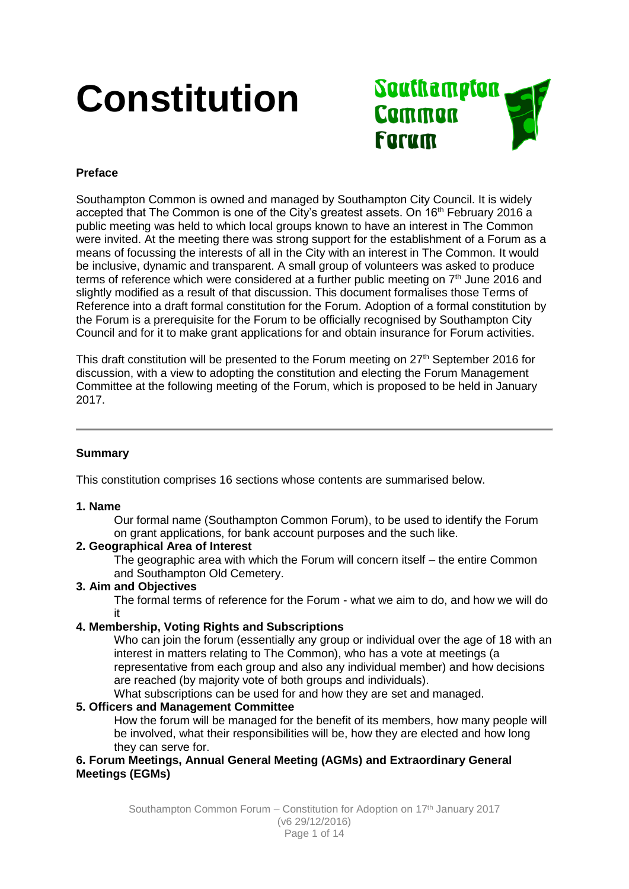# **Constitution**



# **Preface**

Southampton Common is owned and managed by Southampton City Council. It is widely accepted that The Common is one of the City's greatest assets. On 16<sup>th</sup> February 2016 a public meeting was held to which local groups known to have an interest in The Common were invited. At the meeting there was strong support for the establishment of a Forum as a means of focussing the interests of all in the City with an interest in The Common. It would be inclusive, dynamic and transparent. A small group of volunteers was asked to produce terms of reference which were considered at a further public meeting on  $7<sup>th</sup>$  June 2016 and slightly modified as a result of that discussion. This document formalises those Terms of Reference into a draft formal constitution for the Forum. Adoption of a formal constitution by the Forum is a prerequisite for the Forum to be officially recognised by Southampton City Council and for it to make grant applications for and obtain insurance for Forum activities.

This draft constitution will be presented to the Forum meeting on  $27<sup>th</sup>$  September 2016 for discussion, with a view to adopting the constitution and electing the Forum Management Committee at the following meeting of the Forum, which is proposed to be held in January 2017.

# **Summary**

This constitution comprises 16 sections whose contents are summarised below.

### **1. Name**

Our formal name (Southampton Common Forum), to be used to identify the Forum on grant applications, for bank account purposes and the such like.

### **2. Geographical Area of Interest**

The geographic area with which the Forum will concern itself – the entire Common and Southampton Old Cemetery.

### **3. Aim and Objectives**

The formal terms of reference for the Forum - what we aim to do, and how we will do it

# **4. Membership, Voting Rights and Subscriptions**

Who can join the forum (essentially any group or individual over the age of 18 with an interest in matters relating to The Common), who has a vote at meetings (a representative from each group and also any individual member) and how decisions are reached (by majority vote of both groups and individuals).

What subscriptions can be used for and how they are set and managed.

# **5. Officers and Management Committee**

How the forum will be managed for the benefit of its members, how many people will be involved, what their responsibilities will be, how they are elected and how long they can serve for.

# **6. Forum Meetings, Annual General Meeting (AGMs) and Extraordinary General Meetings (EGMs)**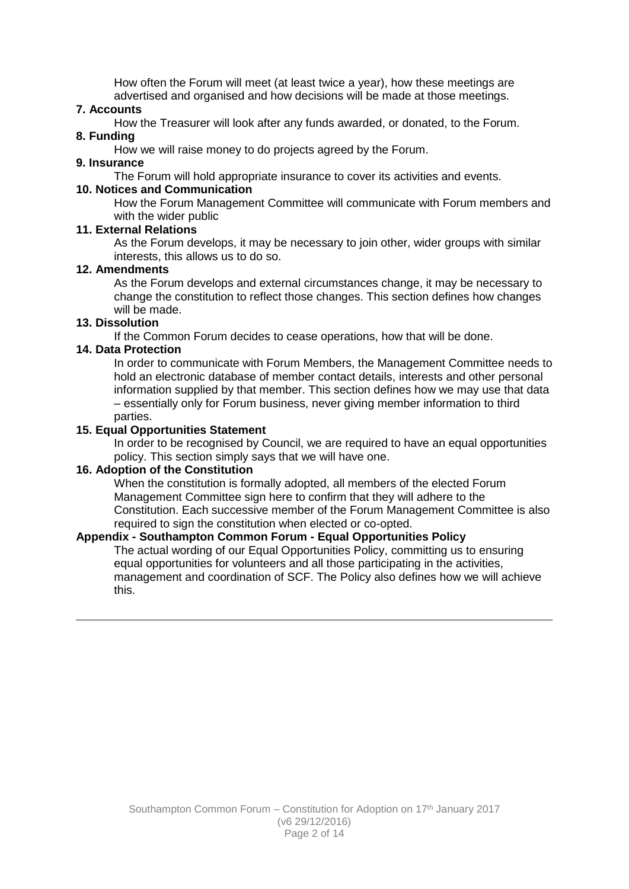How often the Forum will meet (at least twice a year), how these meetings are advertised and organised and how decisions will be made at those meetings.

# **7. Accounts**

How the Treasurer will look after any funds awarded, or donated, to the Forum.

#### **8. Funding**

How we will raise money to do projects agreed by the Forum.

#### **9. Insurance**

The Forum will hold appropriate insurance to cover its activities and events.

### **10. Notices and Communication**

How the Forum Management Committee will communicate with Forum members and with the wider public

# **11. External Relations**

As the Forum develops, it may be necessary to join other, wider groups with similar interests, this allows us to do so.

#### **12. Amendments**

As the Forum develops and external circumstances change, it may be necessary to change the constitution to reflect those changes. This section defines how changes will be made

### **13. Dissolution**

If the Common Forum decides to cease operations, how that will be done.

### **14. Data Protection**

In order to communicate with Forum Members, the Management Committee needs to hold an electronic database of member contact details, interests and other personal information supplied by that member. This section defines how we may use that data – essentially only for Forum business, never giving member information to third parties.

### **15. Equal Opportunities Statement**

In order to be recognised by Council, we are required to have an equal opportunities policy. This section simply says that we will have one.

### **16. Adoption of the Constitution**

When the constitution is formally adopted, all members of the elected Forum Management Committee sign here to confirm that they will adhere to the Constitution. Each successive member of the Forum Management Committee is also required to sign the constitution when elected or co-opted.

### **Appendix - Southampton Common Forum - Equal Opportunities Policy**

The actual wording of our Equal Opportunities Policy, committing us to ensuring equal opportunities for volunteers and all those participating in the activities, management and coordination of SCF. The Policy also defines how we will achieve this.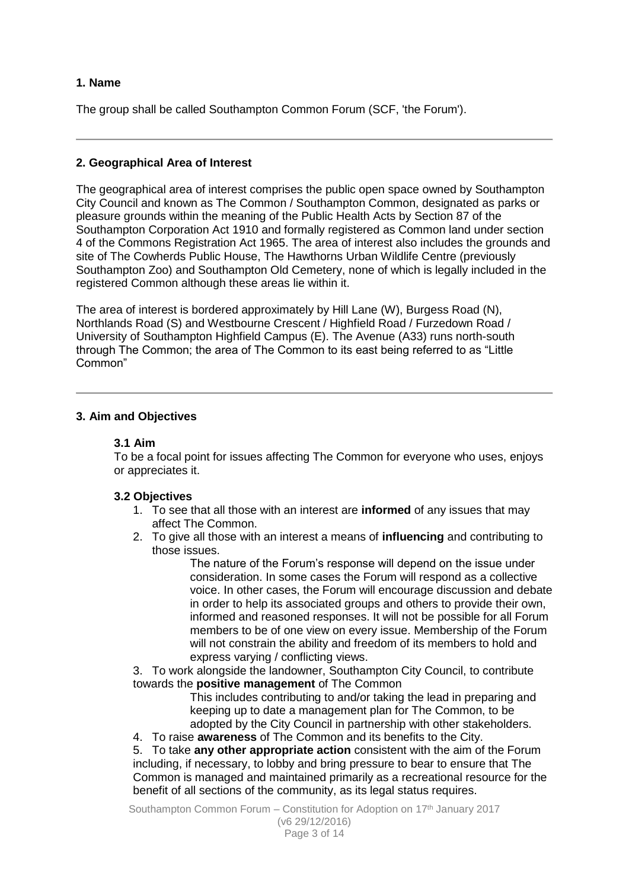# **1. Name**

The group shall be called Southampton Common Forum (SCF, 'the Forum').

### **2. Geographical Area of Interest**

The geographical area of interest comprises the public open space owned by Southampton City Council and known as The Common / Southampton Common, designated as parks or pleasure grounds within the meaning of the Public Health Acts by Section 87 of the Southampton Corporation Act 1910 and formally registered as Common land under section 4 of the Commons Registration Act 1965. The area of interest also includes the grounds and site of The Cowherds Public House, The Hawthorns Urban Wildlife Centre (previously Southampton Zoo) and Southampton Old Cemetery, none of which is legally included in the registered Common although these areas lie within it.

The area of interest is bordered approximately by Hill Lane (W), Burgess Road (N), Northlands Road (S) and Westbourne Crescent / Highfield Road / Furzedown Road / University of Southampton Highfield Campus (E). The Avenue (A33) runs north-south through The Common; the area of The Common to its east being referred to as "Little Common"

### **3. Aim and Objectives**

#### **3.1 Aim**

To be a focal point for issues affecting The Common for everyone who uses, enjoys or appreciates it.

### **3.2 Objectives**

- 1. To see that all those with an interest are **informed** of any issues that may affect The Common.
- 2. To give all those with an interest a means of **influencing** and contributing to those issues.

The nature of the Forum's response will depend on the issue under consideration. In some cases the Forum will respond as a collective voice. In other cases, the Forum will encourage discussion and debate in order to help its associated groups and others to provide their own, informed and reasoned responses. It will not be possible for all Forum members to be of one view on every issue. Membership of the Forum will not constrain the ability and freedom of its members to hold and express varying / conflicting views.

3. To work alongside the landowner, Southampton City Council, to contribute towards the **positive management** of The Common

This includes contributing to and/or taking the lead in preparing and keeping up to date a management plan for The Common, to be adopted by the City Council in partnership with other stakeholders.

4. To raise **awareness** of The Common and its benefits to the City.

5. To take **any other appropriate action** consistent with the aim of the Forum including, if necessary, to lobby and bring pressure to bear to ensure that The Common is managed and maintained primarily as a recreational resource for the benefit of all sections of the community, as its legal status requires.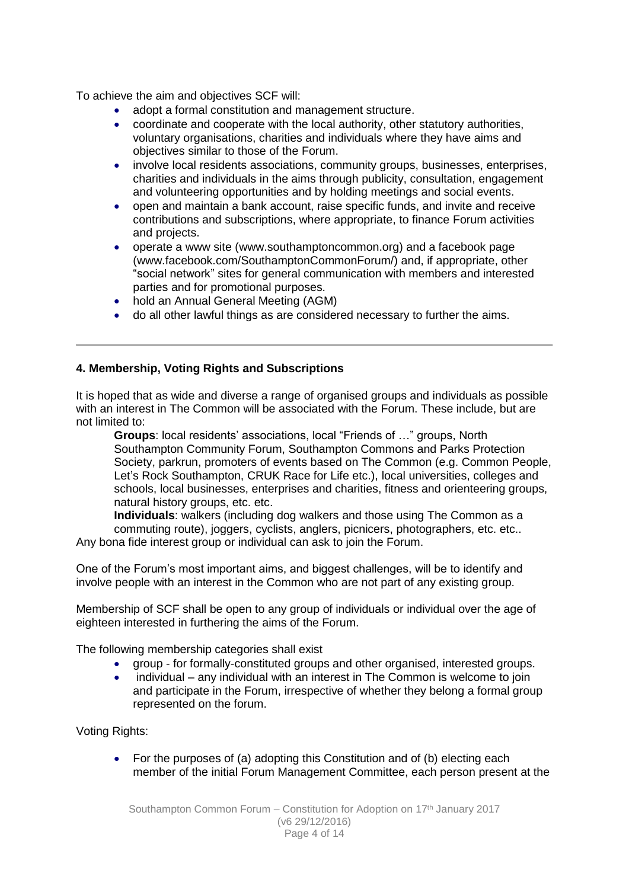To achieve the aim and objectives SCF will:

- adopt a formal constitution and management structure.
- coordinate and cooperate with the local authority, other statutory authorities, voluntary organisations, charities and individuals where they have aims and objectives similar to those of the Forum.
- involve local residents associations, community groups, businesses, enterprises, charities and individuals in the aims through publicity, consultation, engagement and volunteering opportunities and by holding meetings and social events.
- open and maintain a bank account, raise specific funds, and invite and receive contributions and subscriptions, where appropriate, to finance Forum activities and projects.
- operate a www site (www.southamptoncommon.org) and a facebook page (www.facebook.com/SouthamptonCommonForum/) and, if appropriate, other "social network" sites for general communication with members and interested parties and for promotional purposes.
- hold an Annual General Meeting (AGM)
- do all other lawful things as are considered necessary to further the aims.

# **4. Membership, Voting Rights and Subscriptions**

It is hoped that as wide and diverse a range of organised groups and individuals as possible with an interest in The Common will be associated with the Forum. These include, but are not limited to:

**Groups**: local residents' associations, local "Friends of …" groups, North Southampton Community Forum, Southampton Commons and Parks Protection Society, parkrun, promoters of events based on The Common (e.g. Common People, Let's Rock Southampton, CRUK Race for Life etc.), local universities, colleges and schools, local businesses, enterprises and charities, fitness and orienteering groups, natural history groups, etc. etc.

**Individuals**: walkers (including dog walkers and those using The Common as a commuting route), joggers, cyclists, anglers, picnicers, photographers, etc. etc.. Any bona fide interest group or individual can ask to join the Forum.

One of the Forum's most important aims, and biggest challenges, will be to identify and involve people with an interest in the Common who are not part of any existing group.

Membership of SCF shall be open to any group of individuals or individual over the age of eighteen interested in furthering the aims of the Forum.

The following membership categories shall exist

- aroup for formally-constituted groups and other organised, interested groups.
- individual any individual with an interest in The Common is welcome to join and participate in the Forum, irrespective of whether they belong a formal group represented on the forum.

Voting Rights:

 For the purposes of (a) adopting this Constitution and of (b) electing each member of the initial Forum Management Committee, each person present at the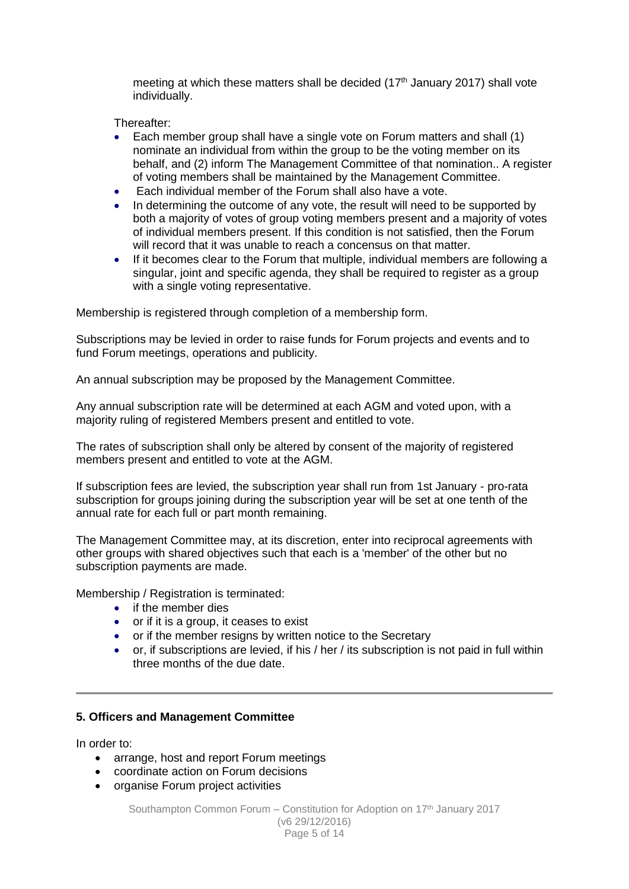meeting at which these matters shall be decided (17<sup>th</sup> January 2017) shall vote individually.

Thereafter:

- Each member group shall have a single vote on Forum matters and shall (1) nominate an individual from within the group to be the voting member on its behalf, and (2) inform The Management Committee of that nomination.. A register of voting members shall be maintained by the Management Committee.
- Each individual member of the Forum shall also have a vote.
- In determining the outcome of any vote, the result will need to be supported by both a majority of votes of group voting members present and a majority of votes of individual members present. If this condition is not satisfied, then the Forum will record that it was unable to reach a concensus on that matter.
- If it becomes clear to the Forum that multiple, individual members are following a singular, joint and specific agenda, they shall be required to register as a group with a single voting representative.

Membership is registered through completion of a membership form.

Subscriptions may be levied in order to raise funds for Forum projects and events and to fund Forum meetings, operations and publicity.

An annual subscription may be proposed by the Management Committee.

Any annual subscription rate will be determined at each AGM and voted upon, with a majority ruling of registered Members present and entitled to vote.

The rates of subscription shall only be altered by consent of the majority of registered members present and entitled to vote at the AGM.

If subscription fees are levied, the subscription year shall run from 1st January - pro-rata subscription for groups joining during the subscription year will be set at one tenth of the annual rate for each full or part month remaining.

The Management Committee may, at its discretion, enter into reciprocal agreements with other groups with shared objectives such that each is a 'member' of the other but no subscription payments are made.

Membership / Registration is terminated:

- if the member dies
- or if it is a group, it ceases to exist
- or if the member resigns by written notice to the Secretary
- or, if subscriptions are levied, if his / her / its subscription is not paid in full within three months of the due date.

### **5. Officers and Management Committee**

In order to:

- arrange, host and report Forum meetings
- coordinate action on Forum decisions
- organise Forum project activities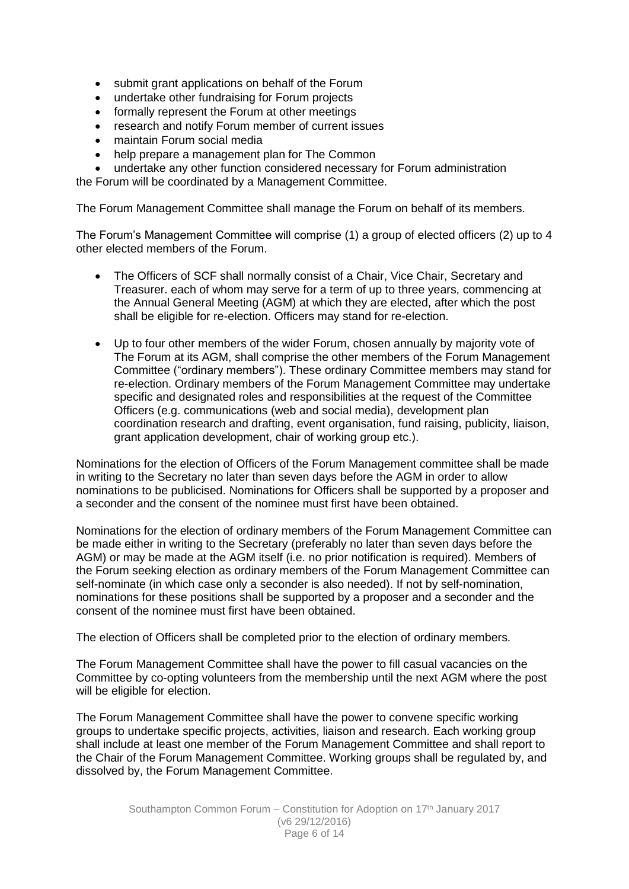- submit grant applications on behalf of the Forum
- undertake other fundraising for Forum projects
- formally represent the Forum at other meetings
- research and notify Forum member of current issues
- maintain Forum social media
- help prepare a management plan for The Common
- undertake any other function considered necessary for Forum administration

the Forum will be coordinated by a Management Committee.

The Forum Management Committee shall manage the Forum on behalf of its members.

The Forum's Management Committee will comprise (1) a group of elected officers (2) up to 4 other elected members of the Forum.

- The Officers of SCF shall normally consist of a Chair, Vice Chair, Secretary and Treasurer. each of whom may serve for a term of up to three years, commencing at the Annual General Meeting (AGM) at which they are elected, after which the post shall be eligible for re-election. Officers may stand for re-election.
- Up to four other members of the wider Forum, chosen annually by majority vote of The Forum at its AGM, shall comprise the other members of the Forum Management Committee ("ordinary members"). These ordinary Committee members may stand for re-election. Ordinary members of the Forum Management Committee may undertake specific and designated roles and responsibilities at the request of the Committee Officers (e.g. communications (web and social media), development plan coordination research and drafting, event organisation, fund raising, publicity, liaison, grant application development, chair of working group etc.).

Nominations for the election of Officers of the Forum Management committee shall be made in writing to the Secretary no later than seven days before the AGM in order to allow nominations to be publicised. Nominations for Officers shall be supported by a proposer and a seconder and the consent of the nominee must first have been obtained.

Nominations for the election of ordinary members of the Forum Management Committee can be made either in writing to the Secretary (preferably no later than seven days before the AGM) or may be made at the AGM itself (i.e. no prior notification is required). Members of the Forum seeking election as ordinary members of the Forum Management Committee can self-nominate (in which case only a seconder is also needed). If not by self-nomination, nominations for these positions shall be supported by a proposer and a seconder and the consent of the nominee must first have been obtained.

The election of Officers shall be completed prior to the election of ordinary members.

The Forum Management Committee shall have the power to fill casual vacancies on the Committee by co-opting volunteers from the membership until the next AGM where the post will be eligible for election.

The Forum Management Committee shall have the power to convene specific working groups to undertake specific projects, activities, liaison and research. Each working group shall include at least one member of the Forum Management Committee and shall report to the Chair of the Forum Management Committee. Working groups shall be regulated by, and dissolved by, the Forum Management Committee.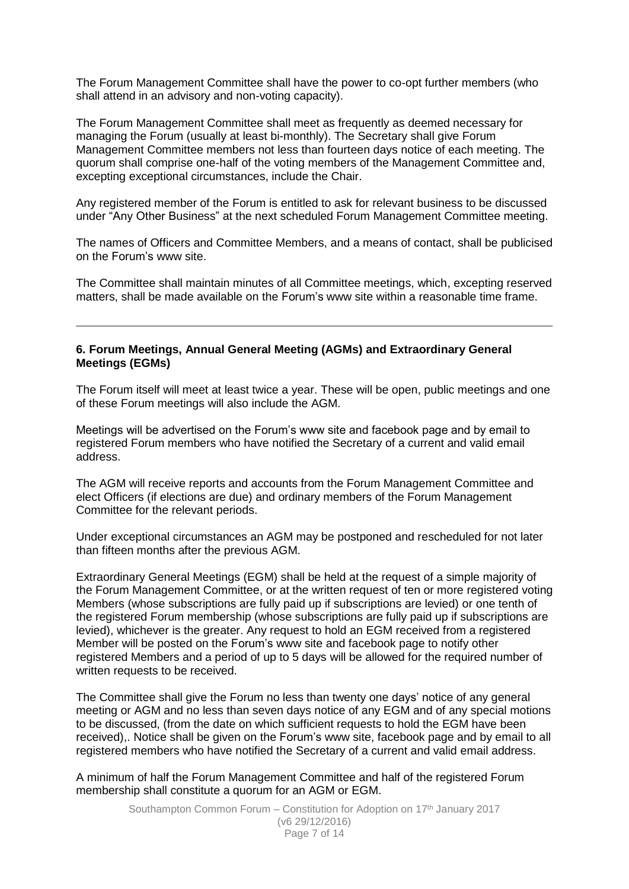The Forum Management Committee shall have the power to co-opt further members (who shall attend in an advisory and non-voting capacity).

The Forum Management Committee shall meet as frequently as deemed necessary for managing the Forum (usually at least bi-monthly). The Secretary shall give Forum Management Committee members not less than fourteen days notice of each meeting. The quorum shall comprise one-half of the voting members of the Management Committee and, excepting exceptional circumstances, include the Chair.

Any registered member of the Forum is entitled to ask for relevant business to be discussed under "Any Other Business" at the next scheduled Forum Management Committee meeting.

The names of Officers and Committee Members, and a means of contact, shall be publicised on the Forum's www site.

The Committee shall maintain minutes of all Committee meetings, which, excepting reserved matters, shall be made available on the Forum's www site within a reasonable time frame.

#### **6. Forum Meetings, Annual General Meeting (AGMs) and Extraordinary General Meetings (EGMs)**

The Forum itself will meet at least twice a year. These will be open, public meetings and one of these Forum meetings will also include the AGM.

Meetings will be advertised on the Forum's www site and facebook page and by email to registered Forum members who have notified the Secretary of a current and valid email address.

The AGM will receive reports and accounts from the Forum Management Committee and elect Officers (if elections are due) and ordinary members of the Forum Management Committee for the relevant periods.

Under exceptional circumstances an AGM may be postponed and rescheduled for not later than fifteen months after the previous AGM.

Extraordinary General Meetings (EGM) shall be held at the request of a simple majority of the Forum Management Committee, or at the written request of ten or more registered voting Members (whose subscriptions are fully paid up if subscriptions are levied) or one tenth of the registered Forum membership (whose subscriptions are fully paid up if subscriptions are levied), whichever is the greater. Any request to hold an EGM received from a registered Member will be posted on the Forum's www site and facebook page to notify other registered Members and a period of up to 5 days will be allowed for the required number of written requests to be received.

The Committee shall give the Forum no less than twenty one days' notice of any general meeting or AGM and no less than seven days notice of any EGM and of any special motions to be discussed, (from the date on which sufficient requests to hold the EGM have been received),. Notice shall be given on the Forum's www site, facebook page and by email to all registered members who have notified the Secretary of a current and valid email address.

A minimum of half the Forum Management Committee and half of the registered Forum membership shall constitute a quorum for an AGM or EGM.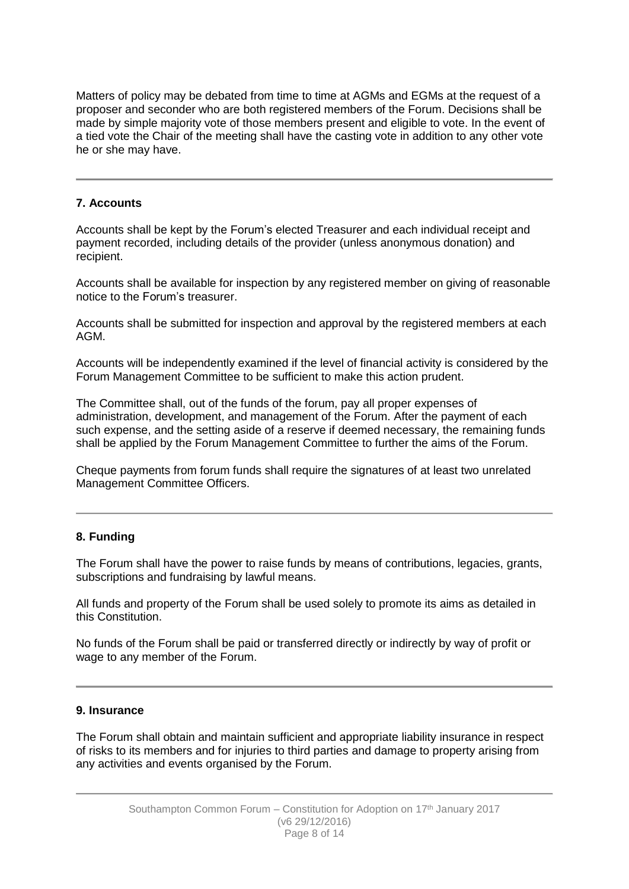Matters of policy may be debated from time to time at AGMs and EGMs at the request of a proposer and seconder who are both registered members of the Forum. Decisions shall be made by simple majority vote of those members present and eligible to vote. In the event of a tied vote the Chair of the meeting shall have the casting vote in addition to any other vote he or she may have.

# **7. Accounts**

Accounts shall be kept by the Forum's elected Treasurer and each individual receipt and payment recorded, including details of the provider (unless anonymous donation) and recipient.

Accounts shall be available for inspection by any registered member on giving of reasonable notice to the Forum's treasurer.

Accounts shall be submitted for inspection and approval by the registered members at each AGM.

Accounts will be independently examined if the level of financial activity is considered by the Forum Management Committee to be sufficient to make this action prudent.

The Committee shall, out of the funds of the forum, pay all proper expenses of administration, development, and management of the Forum. After the payment of each such expense, and the setting aside of a reserve if deemed necessary, the remaining funds shall be applied by the Forum Management Committee to further the aims of the Forum.

Cheque payments from forum funds shall require the signatures of at least two unrelated Management Committee Officers.

### **8. Funding**

The Forum shall have the power to raise funds by means of contributions, legacies, grants, subscriptions and fundraising by lawful means.

All funds and property of the Forum shall be used solely to promote its aims as detailed in this Constitution.

No funds of the Forum shall be paid or transferred directly or indirectly by way of profit or wage to any member of the Forum.

# **9. Insurance**

The Forum shall obtain and maintain sufficient and appropriate liability insurance in respect of risks to its members and for injuries to third parties and damage to property arising from any activities and events organised by the Forum.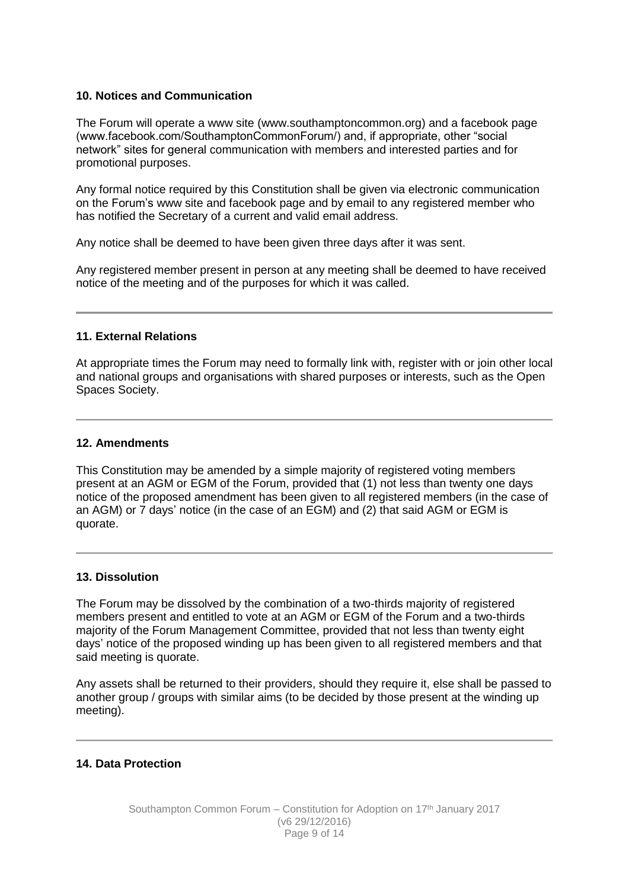#### **10. Notices and Communication**

The Forum will operate a www site (www.southamptoncommon.org) and a facebook page (www.facebook.com/SouthamptonCommonForum/) and, if appropriate, other "social network" sites for general communication with members and interested parties and for promotional purposes.

Any formal notice required by this Constitution shall be given via electronic communication on the Forum's www site and facebook page and by email to any registered member who has notified the Secretary of a current and valid email address.

Any notice shall be deemed to have been given three days after it was sent.

Any registered member present in person at any meeting shall be deemed to have received notice of the meeting and of the purposes for which it was called.

#### **11. External Relations**

At appropriate times the Forum may need to formally link with, register with or join other local and national groups and organisations with shared purposes or interests, such as the Open Spaces Society.

#### **12. Amendments**

This Constitution may be amended by a simple majority of registered voting members present at an AGM or EGM of the Forum, provided that (1) not less than twenty one days notice of the proposed amendment has been given to all registered members (in the case of an AGM) or 7 days' notice (in the case of an EGM) and (2) that said AGM or EGM is quorate.

### **13. Dissolution**

The Forum may be dissolved by the combination of a two-thirds majority of registered members present and entitled to vote at an AGM or EGM of the Forum and a two-thirds majority of the Forum Management Committee, provided that not less than twenty eight days' notice of the proposed winding up has been given to all registered members and that said meeting is quorate.

Any assets shall be returned to their providers, should they require it, else shall be passed to another group / groups with similar aims (to be decided by those present at the winding up meeting).

# **14. Data Protection**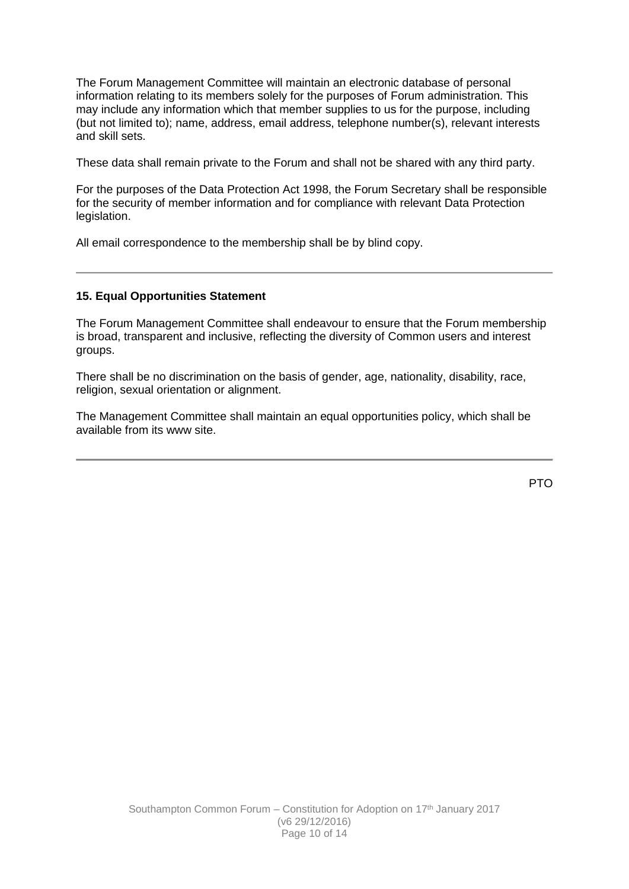The Forum Management Committee will maintain an electronic database of personal information relating to its members solely for the purposes of Forum administration. This may include any information which that member supplies to us for the purpose, including (but not limited to); name, address, email address, telephone number(s), relevant interests and skill sets.

These data shall remain private to the Forum and shall not be shared with any third party.

For the purposes of the Data Protection Act 1998, the Forum Secretary shall be responsible for the security of member information and for compliance with relevant Data Protection legislation.

All email correspondence to the membership shall be by blind copy.

#### **15. Equal Opportunities Statement**

The Forum Management Committee shall endeavour to ensure that the Forum membership is broad, transparent and inclusive, reflecting the diversity of Common users and interest groups.

There shall be no discrimination on the basis of gender, age, nationality, disability, race, religion, sexual orientation or alignment.

The Management Committee shall maintain an equal opportunities policy, which shall be available from its www site.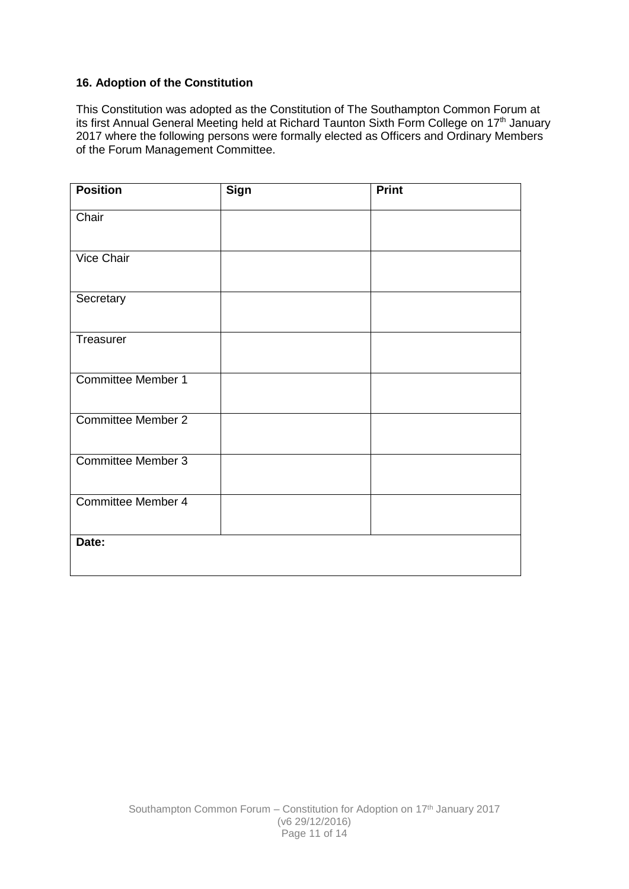# **16. Adoption of the Constitution**

This Constitution was adopted as the Constitution of The Southampton Common Forum at its first Annual General Meeting held at Richard Taunton Sixth Form College on 17<sup>th</sup> January 2017 where the following persons were formally elected as Officers and Ordinary Members of the Forum Management Committee.

| <b>Position</b>           | <b>Sign</b> | <b>Print</b> |
|---------------------------|-------------|--------------|
| Chair                     |             |              |
| <b>Vice Chair</b>         |             |              |
| Secretary                 |             |              |
| Treasurer                 |             |              |
| <b>Committee Member 1</b> |             |              |
| <b>Committee Member 2</b> |             |              |
| <b>Committee Member 3</b> |             |              |
| <b>Committee Member 4</b> |             |              |
| Date:                     |             |              |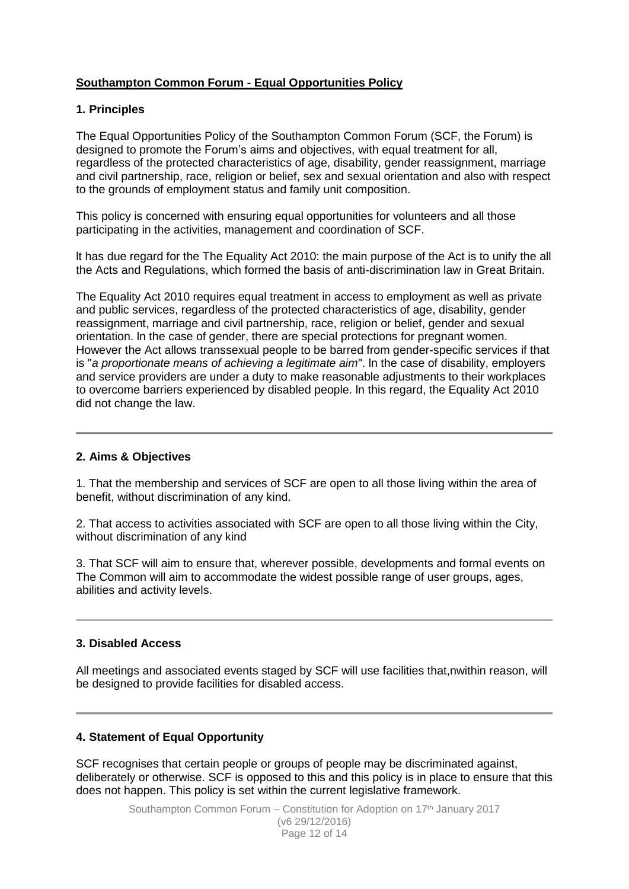# **Southampton Common Forum - Equal Opportunities Policy**

# **1. Principles**

The Equal Opportunities Policy of the Southampton Common Forum (SCF, the Forum) is designed to promote the Forum's aims and objectives, with equal treatment for all, regardless of the protected characteristics of age, disability, gender reassignment, marriage and civil partnership, race, religion or belief, sex and sexual orientation and also with respect to the grounds of employment status and family unit composition.

This policy is concerned with ensuring equal opportunities for volunteers and all those participating in the activities, management and coordination of SCF.

lt has due regard for the The Equality Act 2010: the main purpose of the Act is to unify the all the Acts and Regulations, which formed the basis of anti-discrimination law in Great Britain.

The Equality Act 2010 requires equal treatment in access to employment as well as private and public services, regardless of the protected characteristics of age, disability, gender reassignment, marriage and civil partnership, race, religion or belief, gender and sexual orientation. ln the case of gender, there are special protections for pregnant women. However the Act allows transsexual people to be barred from gender-specific services if that is "*a proportionate means of achieving a legitimate aim*". ln the case of disability, employers and service providers are under a duty to make reasonable adjustments to their workplaces to overcome barriers experienced by disabled people. ln this regard, the Equality Act 2010 did not change the law.

### **2. Aims & Objectives**

1. That the membership and services of SCF are open to all those living within the area of benefit, without discrimination of any kind.

2. That access to activities associated with SCF are open to all those living within the City, without discrimination of any kind

3. That SCF will aim to ensure that, wherever possible, developments and formal events on The Common will aim to accommodate the widest possible range of user groups, ages, abilities and activity levels.

#### **3. Disabled Access**

All meetings and associated events staged by SCF will use facilities that,nwithin reason, will be designed to provide facilities for disabled access.

### **4. Statement of Equal Opportunity**

SCF recognises that certain people or groups of people may be discriminated against, deliberately or otherwise. SCF is opposed to this and this policy is in place to ensure that this does not happen. This policy is set within the current legislative framework.

> Southampton Common Forum - Constitution for Adoption on 17<sup>th</sup> January 2017 (v6 29/12/2016) Page 12 of 14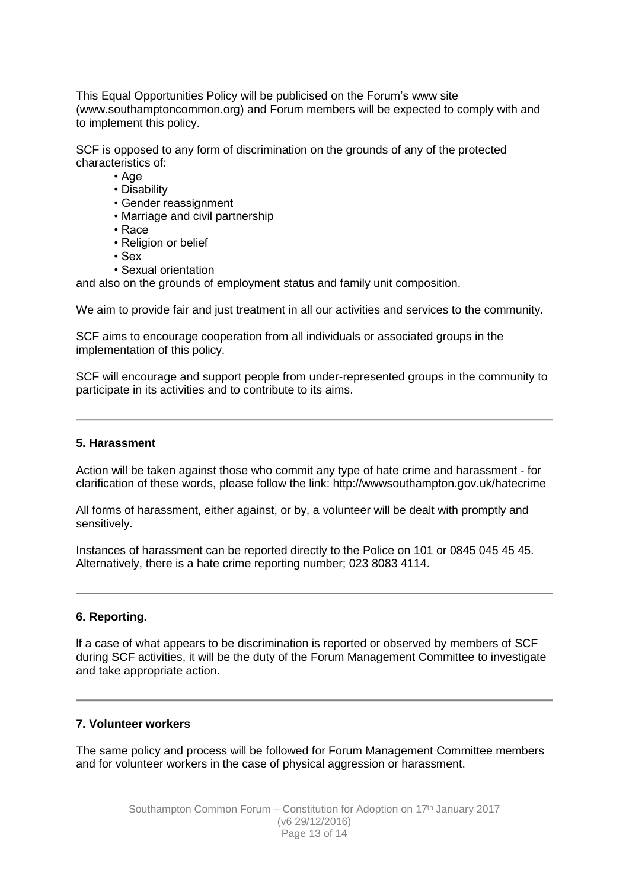This Equal Opportunities Policy will be publicised on the Forum's www site (www.southamptoncommon.org) and Forum members will be expected to comply with and to implement this policy.

SCF is opposed to any form of discrimination on the grounds of any of the protected characteristics of:

• Age

- Disability
- Gender reassignment
- Marriage and civil partnership
- Race
- Religion or belief
- Sex
- Sexual orientation

and also on the grounds of employment status and family unit composition.

We aim to provide fair and just treatment in all our activities and services to the community.

SCF aims to encourage cooperation from all individuals or associated groups in the implementation of this policy.

SCF will encourage and support people from under-represented groups in the community to participate in its activities and to contribute to its aims.

#### **5. Harassment**

Action will be taken against those who commit any type of hate crime and harassment - for clarification of these words, please follow the link: http://wwwsouthampton.gov.uk/hatecrime

All forms of harassment, either against, or by, a volunteer will be dealt with promptly and sensitively.

Instances of harassment can be reported directly to the Police on 101 or 0845 045 45 45. Alternatively, there is a hate crime reporting number; 023 8083 4114.

#### **6. Reporting.**

lf a case of what appears to be discrimination is reported or observed by members of SCF during SCF activities, it will be the duty of the Forum Management Committee to investigate and take appropriate action.

#### **7. Volunteer workers**

The same policy and process will be followed for Forum Management Committee members and for volunteer workers in the case of physical aggression or harassment.